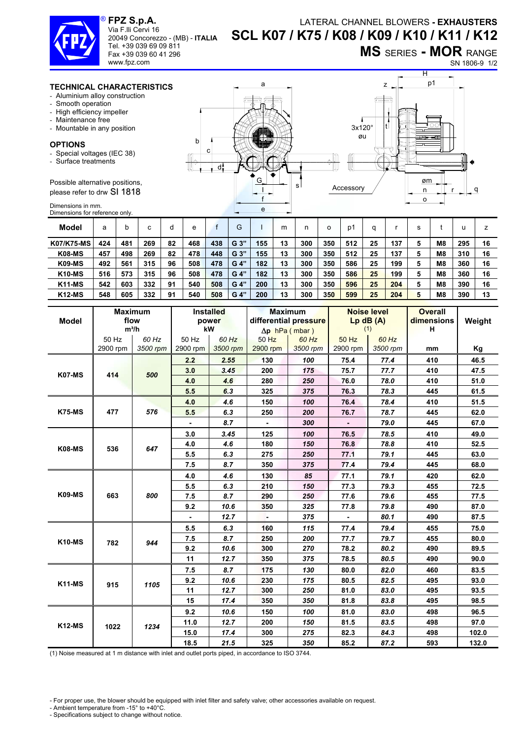## **FPZ S.p.A.**  Via F.lli Cervi 16 ®



Tel. +39 039 69 09 811 Fax +39 039 60 41 296 www.fpz.com

20049 Concorezzo - (MB) - **ITALIA**

**MS** SERIES **- MOR** RANGE

 $\overline{H}$ 

SN 1806-9 1/2

## **TECHNICAL CHARACTERISTICS**

- Aluminium alloy construction
- Smooth operation
- High efficiency impeller
- Maintenance free
- Mountable in any position

## **OPTIONS**

- Special voltages (IEC 38)
- Surface treatments

Possible alternative positions, please refer to drw SI 1818

Dimensions in mm. Dimensions for reference only.

| a                           | p1<br>z                                   |
|-----------------------------|-------------------------------------------|
| m<br>O<br>b<br>с            | $\circ$<br>$3x120^\circ$<br>øu<br>≕क<br>≖ |
| $\P^n$<br>U<br>ч<br>ь<br>d: | ь<br>₩<br>1 N                             |
| G<br>s<br>e                 | øm<br>Accessory<br>q<br>n<br>$\Omega$     |

| Model             | a   |     | $\sim$<br>U | d  | e   |     | G              |     | m  |     |     | D'  | a  |     | s |                |     |    |
|-------------------|-----|-----|-------------|----|-----|-----|----------------|-----|----|-----|-----|-----|----|-----|---|----------------|-----|----|
| <b>K07/K75-MS</b> | 424 | 481 | 269         | 82 | 468 | 438 | G <sub>3</sub> | 155 | 13 | 300 | 350 | 512 | 25 | 137 | 5 | M <sub>8</sub> | 295 | 16 |
| <b>K08-MS</b>     | 457 | 498 | 269         | 82 | 478 | 448 | G 3"           | 155 | 13 | 300 | 350 | 512 | 25 | 137 | 5 | M <sub>8</sub> | 310 | 16 |
| <b>K09-MS</b>     | 492 | 561 | 315         | 96 | 508 | 478 | G 4"           | 182 | 13 | 300 | 350 | 586 | 25 | 199 | 5 | M <sub>8</sub> | 360 | 16 |
| <b>K10-MS</b>     | 516 | 573 | 315         | 96 | 508 | 478 | G 4"           | 182 | 13 | 300 | 350 | 586 | 25 | 199 | 5 | M <sub>8</sub> | 360 | 16 |
| <b>K11-MS</b>     | 542 | 603 | 332         | 91 | 540 | 508 | G 4"           | 200 | 13 | 300 | 350 | 596 | 25 | 204 | 5 | M <sub>8</sub> | 390 | 16 |
| <b>K12-MS</b>     | 548 | 605 | 332         | 91 | 540 | 508 | G 4"           | 200 | 13 | 300 | 350 | 599 | 25 | 204 | 5 | M <sub>8</sub> | 390 | 13 |

|               |                   | <b>Maximum</b>    | <b>Installed</b>  |                   |                       | <b>Maximum</b>        |                   | <b>Noise level</b> | <b>Overall</b> |        |
|---------------|-------------------|-------------------|-------------------|-------------------|-----------------------|-----------------------|-------------------|--------------------|----------------|--------|
| <b>Model</b>  |                   | flow              |                   | power             |                       | differential pressure |                   | $Lp$ dB $(A)$      | dimensions     | Weight |
|               |                   | $m^3/h$           | kW                |                   | $\Delta p$ hPa (mbar) |                       | (1)               |                    | н              |        |
|               | 50 Hz<br>2900 rpm | 60 Hz<br>3500 rpm | 50 Hz<br>2900 rpm | 60 Hz<br>3500 rpm | 50 Hz<br>2900 rpm     | 60 Hz                 | 50 Hz<br>2900 rpm | 60 Hz              |                |        |
|               |                   |                   |                   |                   |                       | 3500 rpm              |                   | 3500 rpm           | mm             | Kg     |
|               | 414               |                   | 2.2               | 2.55              | 130                   | 100                   | 75.4              | 77.4               | 410            | 46.5   |
| <b>K07-MS</b> |                   | 500               | 3.0               | 3.45              | 200                   | 175                   | 75.7              | 77.7               | 410            | 47.5   |
|               |                   |                   | 4.0               | 4.6               | 280                   | 250                   | 76.0              | 78.0               | 410            | 51.0   |
|               |                   |                   | 5.5               | 6.3               | 325                   | 375                   | 76.3              | 78.3               | 445            | 61.5   |
|               |                   |                   | 4.0               | 4.6               | 150                   | 100                   | 76.4              | 78.4               | 410            | 51.5   |
| <b>K75-MS</b> | 477               | 576               | 5.5               | 6.3               | 250                   | 200                   | 76.7              | 78.7               | 445            | 62.0   |
|               |                   |                   |                   | 8.7               |                       | 300                   |                   | 79.0               | 445            | 67.0   |
|               | 536               | 647               | 3.0               | 3.45              | 125                   | 100                   | 76.5              | 78.5               | 410            | 49.0   |
| <b>K08-MS</b> |                   |                   | 4.0               | 4.6               | 180                   | 150                   | 76.8              | 78.8               | 410            | 52.5   |
|               |                   |                   | 5.5               | 6.3               | 275                   | 250                   | 77.1              | 79.1               | 445            | 63.0   |
|               |                   |                   | 7.5               | 8.7               | 350                   | 375                   | 77.4              | 79.4               | 445            | 68.0   |
|               | 663               | 800               | 4.0               | 4.6               | 130                   | 85                    | 77.1              | 79.1               | 420            | 62.0   |
|               |                   |                   | 5.5               | 6.3               | 210                   | 150                   | 77.3              | 79.3               | 455            | 72.5   |
| <b>K09-MS</b> |                   |                   | 7.5               | 8.7               | 290                   | 250                   | 77.6              | 79.6               | 455            | 77.5   |
|               |                   |                   | 9.2               | 10.6              | 350                   | 325                   | 77.8              | 79.8               | 490            | 87.0   |
|               |                   |                   |                   | 12.7              |                       | 375                   |                   | 80.1               | 490            | 87.5   |
|               | 782               | 944               | 5.5               | 6.3               | 160                   | 115                   | 77.4              | 79.4               | 455            | 75.0   |
| <b>K10-MS</b> |                   |                   | 7.5               | 8.7               | 250                   | 200                   | 77.7              | 79.7               | 455            | 80.0   |
|               |                   |                   | 9.2               | 10.6              | 300                   | 270                   | 78.2              | 80.2               | 490            | 89.5   |
|               |                   |                   | 11                | 12.7              | 350                   | 375                   | 78.5              | 80.5               | 490            | 90.0   |
|               | 915               |                   | 7.5               | 8.7               | 175                   | 130                   | 80.0              | 82.0               | 460            | 83.5   |
| <b>K11-MS</b> |                   | 1105              | 9.2               | 10.6              | 230                   | 175                   | 80.5              | 82.5               | 495            | 93.0   |
|               |                   |                   | 11                | 12.7              | 300                   | 250                   | 81.0              | 83.0               | 495            | 93.5   |
|               |                   |                   | 15                | 17.4              | 350                   | 350                   | 81.8              | 83.8               | 495            | 98.5   |
| $K12$ -MS     | 1022              | 1234              | 9.2               | 10.6              | 150                   | 100                   | 81.0              | 83.0               | 498            | 96.5   |
|               |                   |                   | 11.0              | 12.7              | 200                   | 150                   | 81.5              | 83.5               | 498            | 97.0   |
|               |                   |                   | 15.0              | 17.4              | 300                   | 275                   | 82.3              | 84.3               | 498            | 102.0  |
|               |                   |                   | 18.5              | 21.5              | 325                   | 350                   | 85.2              | 87.2               | 593            | 132.0  |

(1) Noise measured at 1 m distance with inlet and outlet ports piped, in accordance to ISO 3744.

- For proper use, the blower should be equipped with inlet filter and safety valve; other accessories available on request.

- Ambient temperature from -15° to +40°C.

- Specifications subject to change without notice.